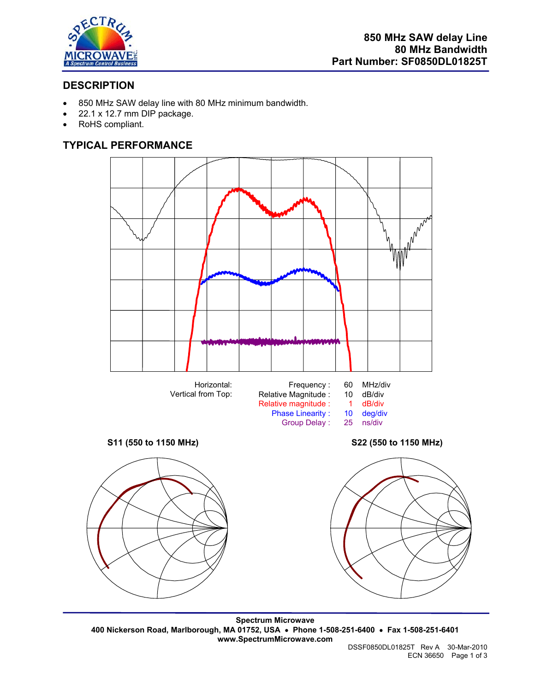

## **DESCRIPTION**

- 850 MHz SAW delay line with 80 MHz minimum bandwidth.
- 22.1 x 12.7 mm DIP package.
- RoHS compliant.

## **TYPICAL PERFORMANCE**



**Spectrum Microwave 400 Nickerson Road, Marlborough, MA 01752, USA** • **Phone 1-508-251-6400** • **Fax 1-508-251-6401 www.SpectrumMicrowave.com**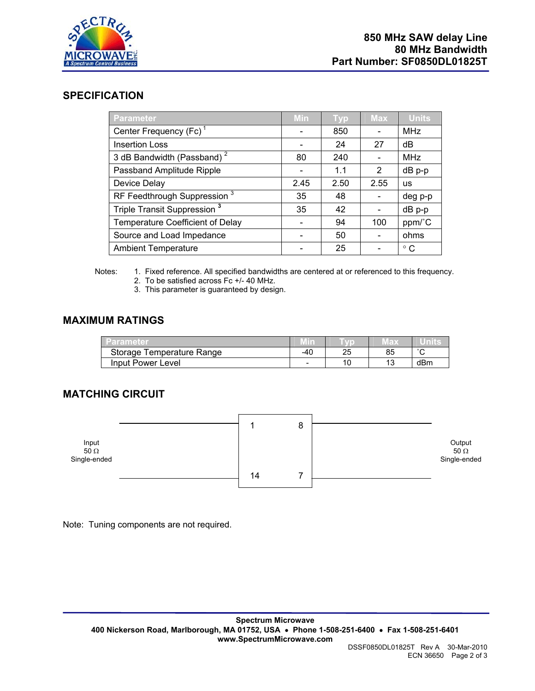

#### **SPECIFICATION**

| <b>Parameter</b>                        | Min  | <b>Typ</b> | <b>Max</b> | <b>Units</b> |
|-----------------------------------------|------|------------|------------|--------------|
| Center Frequency (Fc) <sup>1</sup>      |      | 850        |            | <b>MHz</b>   |
| <b>Insertion Loss</b>                   |      | 24         | 27         | dB           |
| 3 dB Bandwidth (Passband) <sup>2</sup>  | 80   | 240        |            | <b>MHz</b>   |
| Passband Amplitude Ripple               |      | 1.1        | 2          | dB p-p       |
| Device Delay                            | 2.45 | 2.50       | 2.55       | <b>US</b>    |
| RF Feedthrough Suppression <sup>3</sup> | 35   | 48         |            | deg p-p      |
| Triple Transit Suppression <sup>3</sup> | 35   | 42         |            | dB p-p       |
| <b>Temperature Coefficient of Delay</b> |      | 94         | 100        | ppm/°C       |
| Source and Load Impedance               |      | 50         |            | ohms         |
| <b>Ambient Temperature</b>              |      | 25         |            | $^{\circ}$ C |

- Notes: 1. Fixed reference. All specified bandwidths are centered at or referenced to this frequency.
	- 2. To be satisfied across Fc +/- 40 MHz.
	- 3. This parameter is guaranteed by design.

### **MAXIMUM RATINGS**

| Parameter                 | Min   |                 |           | unne   |
|---------------------------|-------|-----------------|-----------|--------|
| Storage Temperature Range | $-40$ | つに<br>້         | 85        | $\sim$ |
| Input Power Level         | -     | $\overline{10}$ | 12<br>ט ו | dBm    |

# **MATCHING CIRCUIT**



Note: Tuning components are not required.